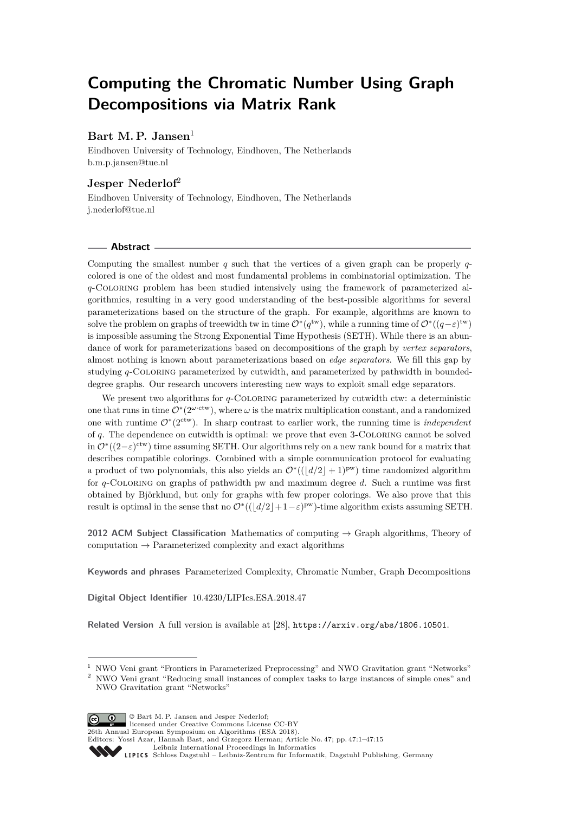# **Computing the Chromatic Number Using Graph Decompositions via Matrix Rank**

# **Bart M. P. Jansen**<sup>1</sup>

Eindhoven University of Technology, Eindhoven, The Netherlands [b.m.p.jansen@tue.nl](mailto:b.m.p.jansen@tue.nl)

# **Jesper Nederlof**<sup>2</sup>

Eindhoven University of Technology, Eindhoven, The Netherlands [j.nederlof@tue.nl](mailto:j.nederlof@tue.nl)

## **Abstract**

Computing the smallest number *q* such that the vertices of a given graph can be properly *q*colored is one of the oldest and most fundamental problems in combinatorial optimization. The *q*-Coloring problem has been studied intensively using the framework of parameterized algorithmics, resulting in a very good understanding of the best-possible algorithms for several parameterizations based on the structure of the graph. For example, algorithms are known to solve the problem on graphs of treewidth tw in time  $\mathcal{O}^*(q^{\text{tw}})$ , while a running time of  $\mathcal{O}^*(q-\varepsilon)^{\text{tw}}$ is impossible assuming the Strong Exponential Time Hypothesis (SETH). While there is an abundance of work for parameterizations based on decompositions of the graph by *vertex separators*, almost nothing is known about parameterizations based on *edge separators*. We fill this gap by studying *q*-Coloring parameterized by cutwidth, and parameterized by pathwidth in boundeddegree graphs. Our research uncovers interesting new ways to exploit small edge separators.

We present two algorithms for *q*-COLORING parameterized by cutwidth ctw: a deterministic one that runs in time  $\mathcal{O}^*(2^{\omega \cdot \text{ctw}})$ , where  $\omega$  is the matrix multiplication constant, and a randomized one with runtime  $\mathcal{O}^*(2^{\text{ctw}})$ . In sharp contrast to earlier work, the running time is *independent* of *q*. The dependence on cutwidth is optimal: we prove that even 3-Coloring cannot be solved in  $\mathcal{O}^{*}((2-\varepsilon)^{\text{ctw}})$  time assuming SETH. Our algorithms rely on a new rank bound for a matrix that describes compatible colorings. Combined with a simple communication protocol for evaluating a product of two polynomials, this also yields an  $\mathcal{O}^*((d/2]+1)^{pw}$  time randomized algorithm for *q*-Coloring on graphs of pathwidth pw and maximum degree *d*. Such a runtime was first obtained by Björklund, but only for graphs with few proper colorings. We also prove that this result is optimal in the sense that no  $\mathcal{O}^*((d/2+1-\varepsilon)^{pw})$ -time algorithm exists assuming SETH.

**2012 ACM Subject Classification** Mathematics of computing → Graph algorithms, Theory of computation  $\rightarrow$  Parameterized complexity and exact algorithms

**Keywords and phrases** Parameterized Complexity, Chromatic Number, Graph Decompositions

**Digital Object Identifier** [10.4230/LIPIcs.ESA.2018.47](http://dx.doi.org/10.4230/LIPIcs.ESA.2018.47)

**Related Version** A full version is available at [\[28\]](#page-13-0), <https://arxiv.org/abs/1806.10501>.

© Bart M. P. Jansen and Jesper Nederlof;  $\boxed{6}$   $\boxed{0}$ licensed under Creative Commons License CC-BY

26th Annual European Symposium on Algorithms (ESA 2018).

Editors: Yossi Azar, Hannah Bast, and Grzegorz Herman; Article No. 47; pp. 47:1–47[:15](#page-14-0)

<sup>1</sup> NWO Veni grant "Frontiers in Parameterized Preprocessing" and NWO Gravitation grant "Networks" <sup>2</sup> NWO Veni grant "Reducing small instances of complex tasks to large instances of simple ones" and NWO Gravitation grant "Networks"

[Leibniz International Proceedings in Informatics](http://www.dagstuhl.de/lipics/)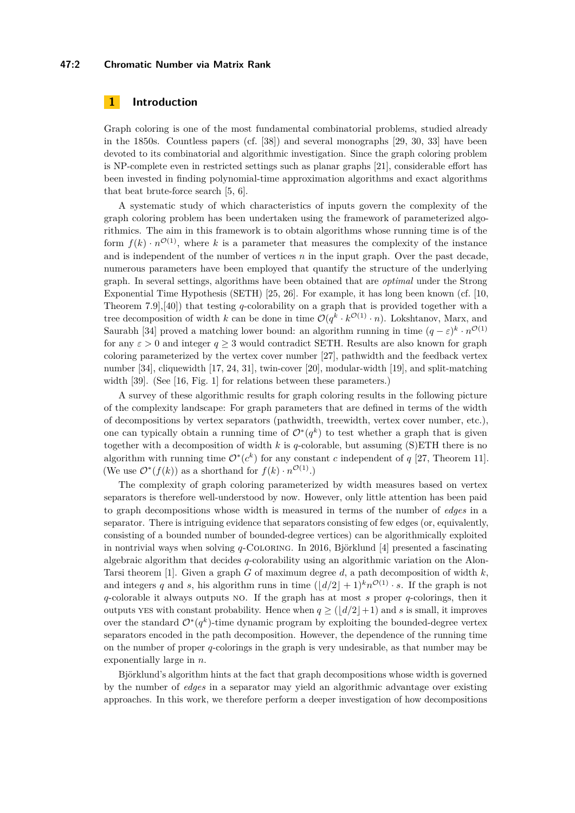## **47:2 Chromatic Number via Matrix Rank**

# **1 Introduction**

Graph coloring is one of the most fundamental combinatorial problems, studied already in the 1850s. Countless papers (cf. [\[38\]](#page-14-1)) and several monographs [\[29,](#page-13-1) [30,](#page-13-2) [33\]](#page-14-2) have been devoted to its combinatorial and algorithmic investigation. Since the graph coloring problem is NP-complete even in restricted settings such as planar graphs [\[21\]](#page-13-3), considerable effort has been invested in finding polynomial-time approximation algorithms and exact algorithms that beat brute-force search [\[5,](#page-12-0) [6\]](#page-12-1).

A systematic study of which characteristics of inputs govern the complexity of the graph coloring problem has been undertaken using the framework of parameterized algorithmics. The aim in this framework is to obtain algorithms whose running time is of the form  $f(k) \cdot n^{\mathcal{O}(1)}$ , where k is a parameter that measures the complexity of the instance and is independent of the number of vertices  $n$  in the input graph. Over the past decade, numerous parameters have been employed that quantify the structure of the underlying graph. In several settings, algorithms have been obtained that are *optimal* under the Strong Exponential Time Hypothesis (SETH) [\[25,](#page-13-4) [26\]](#page-13-5). For example, it has long been known (cf. [\[10,](#page-12-2) Theorem 7.9],[\[40\]](#page-14-3)) that testing *q*-colorability on a graph that is provided together with a tree decomposition of width *k* can be done in time  $\mathcal{O}(q^k \cdot k^{\mathcal{O}(1)} \cdot n)$ . Lokshtanov, Marx, and Saurabh [\[34\]](#page-14-4) proved a matching lower bound: an algorithm running in time  $(q - \varepsilon)^k \cdot n^{\mathcal{O}(1)}$ for any  $\varepsilon > 0$  and integer  $q \ge 3$  would contradict SETH. Results are also known for graph coloring parameterized by the vertex cover number [\[27\]](#page-13-6), pathwidth and the feedback vertex number [\[34\]](#page-14-4), cliquewidth [\[17,](#page-13-7) [24,](#page-13-8) [31\]](#page-13-9), twin-cover [\[20\]](#page-13-10), modular-width [\[19\]](#page-13-11), and split-matching width [\[39\]](#page-14-5). (See [\[16,](#page-13-12) Fig. 1] for relations between these parameters.)

A survey of these algorithmic results for graph coloring results in the following picture of the complexity landscape: For graph parameters that are defined in terms of the width of decompositions by vertex separators (pathwidth, treewidth, vertex cover number, etc.), one can typically obtain a running time of  $\mathcal{O}^*(q^k)$  to test whether a graph that is given together with a decomposition of width *k* is *q*-colorable, but assuming (S)ETH there is no algorithm with running time  $\mathcal{O}^*(c^k)$  for any constant *c* independent of *q* [\[27,](#page-13-6) Theorem 11]. (We use  $\mathcal{O}^*(f(k))$  as a shorthand for  $f(k) \cdot n^{\mathcal{O}(1)}$ .)

The complexity of graph coloring parameterized by width measures based on vertex separators is therefore well-understood by now. However, only little attention has been paid to graph decompositions whose width is measured in terms of the number of *edges* in a separator. There is intriguing evidence that separators consisting of few edges (or, equivalently, consisting of a bounded number of bounded-degree vertices) can be algorithmically exploited in nontrivial ways when solving *q*-Coloring. In 2016, Björklund [\[4\]](#page-12-3) presented a fascinating algebraic algorithm that decides *q*-colorability using an algorithmic variation on the Alon-Tarsi theorem [\[1\]](#page-12-4). Given a graph *G* of maximum degree *d*, a path decomposition of width *k*, and integers *q* and *s*, his algorithm runs in time  $(\lfloor d/2 \rfloor + 1)^k n^{\mathcal{O}(1)} \cdot s$ . If the graph is not *q*-colorable it always outputs no. If the graph has at most *s* proper *q*-colorings, then it outputs yes with constant probability. Hence when  $q \geq (|d/2|+1)$  and *s* is small, it improves over the standard  $\mathcal{O}^*(q^k)$ -time dynamic program by exploiting the bounded-degree vertex separators encoded in the path decomposition. However, the dependence of the running time on the number of proper *q*-colorings in the graph is very undesirable, as that number may be exponentially large in *n*.

Björklund's algorithm hints at the fact that graph decompositions whose width is governed by the number of *edges* in a separator may yield an algorithmic advantage over existing approaches. In this work, we therefore perform a deeper investigation of how decompositions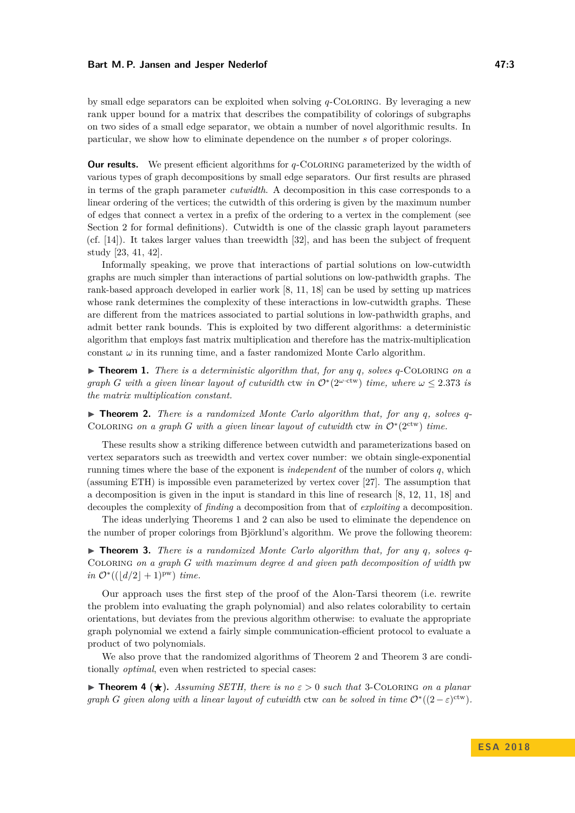by small edge separators can be exploited when solving *q*-Coloring. By leveraging a new rank upper bound for a matrix that describes the compatibility of colorings of subgraphs on two sides of a small edge separator, we obtain a number of novel algorithmic results. In particular, we show how to eliminate dependence on the number *s* of proper colorings.

**Our results.** We present efficient algorithms for *q*-COLORING parameterized by the width of various types of graph decompositions by small edge separators. Our first results are phrased in terms of the graph parameter *cutwidth*. A decomposition in this case corresponds to a linear ordering of the vertices; the cutwidth of this ordering is given by the maximum number of edges that connect a vertex in a prefix of the ordering to a vertex in the complement (see Section [2](#page-3-0) for formal definitions). Cutwidth is one of the classic graph layout parameters (cf. [\[14\]](#page-12-5)). It takes larger values than treewidth [\[32\]](#page-14-6), and has been the subject of frequent study [\[23,](#page-13-13) [41,](#page-14-7) [42\]](#page-14-8).

Informally speaking, we prove that interactions of partial solutions on low-cutwidth graphs are much simpler than interactions of partial solutions on low-pathwidth graphs. The rank-based approach developed in earlier work [\[8,](#page-12-6) [11,](#page-12-7) [18\]](#page-13-14) can be used by setting up matrices whose rank determines the complexity of these interactions in low-cutwidth graphs. These are different from the matrices associated to partial solutions in low-pathwidth graphs, and admit better rank bounds. This is exploited by two different algorithms: a deterministic algorithm that employs fast matrix multiplication and therefore has the matrix-multiplication constant  $\omega$  in its running time, and a faster randomized Monte Carlo algorithm.

<span id="page-2-0"></span> $\triangleright$  **Theorem 1.** *There is a deterministic algorithm that, for any q, solves q*-COLORING *on a graph G* with a given linear layout of cutwidth ctw in  $O^*(2^{\omega \cdot \text{ctw}})$  time, where  $\omega \leq 2.373$  is *the matrix multiplication constant.*

<span id="page-2-1"></span> $\triangleright$  **Theorem 2.** *There is a randomized Monte Carlo algorithm that, for any q, solves q*-COLORING on a graph *G* with a given linear layout of cutwidth ctw in  $O^*(2^{ctw})$  time.

These results show a striking difference between cutwidth and parameterizations based on vertex separators such as treewidth and vertex cover number: we obtain single-exponential running times where the base of the exponent is *independent* of the number of colors *q*, which (assuming ETH) is impossible even parameterized by vertex cover [\[27\]](#page-13-6). The assumption that a decomposition is given in the input is standard in this line of research [\[8,](#page-12-6) [12,](#page-12-8) [11,](#page-12-7) [18\]](#page-13-14) and decouples the complexity of *finding* a decomposition from that of *exploiting* a decomposition.

The ideas underlying Theorems [1](#page-2-0) and [2](#page-2-1) can also be used to eliminate the dependence on the number of proper colorings from Björklund's algorithm. We prove the following theorem:

<span id="page-2-2"></span>I **Theorem 3.** *There is a randomized Monte Carlo algorithm that, for any q, solves q*-Coloring *on a graph G with maximum degree d and given path decomposition of width* pw  $in \mathcal{O}^*((|d/2|+1)^{pw})$  *time.* 

Our approach uses the first step of the proof of the Alon-Tarsi theorem (i.e. rewrite the problem into evaluating the graph polynomial) and also relates colorability to certain orientations, but deviates from the previous algorithm otherwise: to evaluate the appropriate graph polynomial we extend a fairly simple communication-efficient protocol to evaluate a product of two polynomials.

We also prove that the randomized algorithms of Theorem [2](#page-2-1) and Theorem [3](#page-2-2) are conditionally *optimal*, even when restricted to special cases:

<span id="page-2-3"></span>**Find 1 (** $\star$ **).** *Assuming SETH, there is no*  $\varepsilon > 0$  *such that* 3-COLORING *on a planar graph G given along with a linear layout of cutwidth* ctw *can be solved in time*  $O<sup>*</sup>((2 - \varepsilon)<sup>ctw</sup>)$ *.*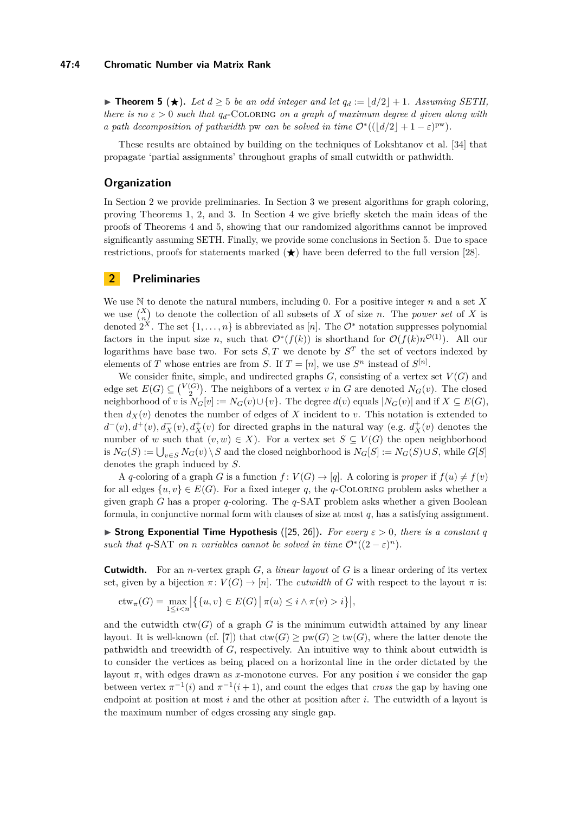## **47:4 Chromatic Number via Matrix Rank**

<span id="page-3-1"></span>▶ **Theorem 5** (★). Let  $d \geq 5$  be an odd integer and let  $q_d := |d/2| + 1$ . Assuming SETH, *there is no*  $\varepsilon > 0$  *such that*  $q_d$ -COLORING *on a graph of maximum degree d given along with a path decomposition of pathwidth* pw *can be solved in time*  $\mathcal{O}^*((|d/2|+1-\varepsilon)^{pw})$ *.* 

These results are obtained by building on the techniques of Lokshtanov et al. [\[34\]](#page-14-4) that propagate 'partial assignments' throughout graphs of small cutwidth or pathwidth.

# **Organization**

In Section [2](#page-3-0) we provide preliminaries. In Section [3](#page-4-0) we present algorithms for graph coloring, proving Theorems [1,](#page-2-0) [2,](#page-2-1) and [3.](#page-2-2) In Section [4](#page-11-0) we give briefly sketch the main ideas of the proofs of Theorems [4](#page-2-3) and [5,](#page-3-1) showing that our randomized algorithms cannot be improved significantly assuming SETH. Finally, we provide some conclusions in Section [5.](#page-11-1) Due to space restrictions, proofs for statements marked  $(\star)$  have been deferred to the full version [\[28\]](#page-13-0).

# <span id="page-3-0"></span>**2 Preliminaries**

We use N to denote the natural numbers, including 0. For a positive integer *n* and a set *X* we use  $\binom{X}{n}$  to denote the collection of all subsets of *X* of size *n*. The *power set* of *X* is denoted  $2^X$ . The set  $\{1, \ldots, n\}$  is abbreviated as [*n*]. The  $\mathcal{O}^*$  notation suppresses polynomial factors in the input size *n*, such that  $O^*(f(k))$  is shorthand for  $O(f(k)n^{O(1)})$ . All our logarithms have base two. For sets  $S$ , T we denote by  $S<sup>T</sup>$  the set of vectors indexed by elements of *T* whose entries are from *S*. If  $T = [n]$ , we use  $S^n$  instead of  $S^{[n]}$ .

We consider finite, simple, and undirected graphs  $G$ , consisting of a vertex set  $V(G)$  and edge set  $E(G) \subseteq {V(G) \choose 2}$ . The neighbors of a vertex *v* in *G* are denoted  $N_G(v)$ . The closed neighborhood of *v* is  $N_G[v] := N_G(v) \cup \{v\}$ . The degree  $d(v)$  equals  $|N_G(v)|$  and if  $X \subseteq E(G)$ , then  $d_X(v)$  denotes the number of edges of X incident to *v*. This notation is extended to  $d^-(v)$ ,  $d^+(v)$ ,  $d^-_X(v)$ ,  $d^+_X(v)$  for directed graphs in the natural way (e.g.  $d^+_X(v)$  denotes the number of *w* such that  $(v, w) \in X$ ). For a vertex set  $S \subseteq V(G)$  the open neighborhood  $i_S N_G(S) := \bigcup_{v \in S} N_G(v) \setminus S$  and the closed neighborhood is  $N_G[S] := N_G(S) \cup S$ , while  $G[S]$ denotes the graph induced by *S*.

A *q*-coloring of a graph *G* is a function  $f: V(G) \to [q]$ . A coloring is *proper* if  $f(u) \neq f(v)$ for all edges  $\{u, v\} \in E(G)$ . For a fixed integer q, the q-COLORING problem asks whether a given graph *G* has a proper *q*-coloring. The *q*-SAT problem asks whether a given Boolean formula, in conjunctive normal form with clauses of size at most *q*, has a satisfying assignment.

 $\triangleright$  **Strong Exponential Time Hypothesis** ([\[25,](#page-13-4) [26\]](#page-13-5)). For every  $\varepsilon > 0$ , there is a constant q *such that*  $q$ -SAT *on n variables cannot be solved in time*  $O^*((2 - \varepsilon)^n)$ *.* 

**Cutwidth.** For an *n*-vertex graph *G*, a *linear layout* of *G* is a linear ordering of its vertex set, given by a bijection  $\pi: V(G) \to [n]$ . The *cutwidth* of *G* with respect to the layout  $\pi$  is:

$$
\operatorname{ctw}_{\pi}(G) = \max_{1 \le i < n} \left| \left\{ \{u, v\} \in E(G) \, \middle| \, \pi(u) \le i \land \pi(v) > i \right\} \right|,
$$

and the cutwidth  $\text{ctw}(G)$  of a graph G is the minimum cutwidth attained by any linear layout. It is well-known (cf. [\[7\]](#page-12-9)) that  $ctw(G) \geq pw(G) \geq tw(G)$ , where the latter denote the pathwidth and treewidth of *G*, respectively. An intuitive way to think about cutwidth is to consider the vertices as being placed on a horizontal line in the order dictated by the layout  $\pi$ , with edges drawn as *x*-monotone curves. For any position *i* we consider the gap between vertex  $\pi^{-1}(i)$  and  $\pi^{-1}(i+1)$ , and count the edges that *cross* the gap by having one endpoint at position at most *i* and the other at position after *i*. The cutwidth of a layout is the maximum number of edges crossing any single gap.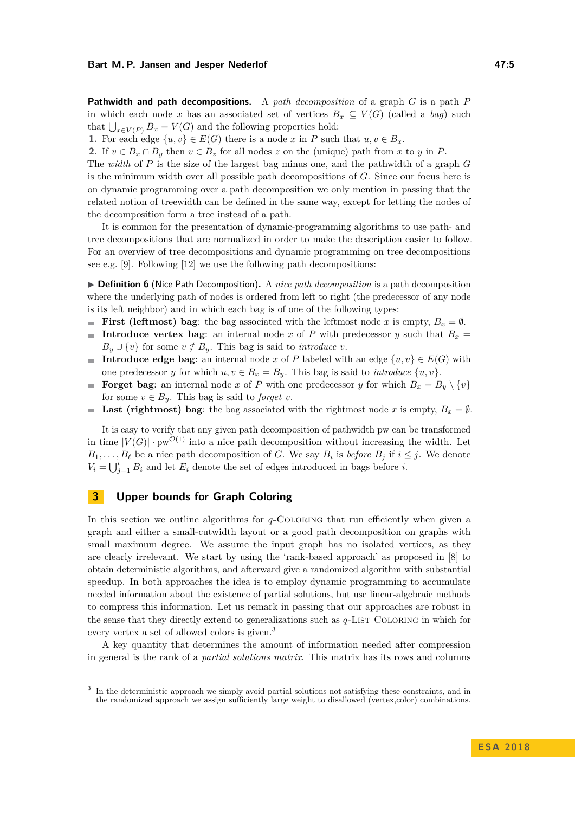**Pathwidth and path decompositions.** A *path decomposition* of a graph *G* is a path *P* in which each node *x* has an associated set of vertices  $B_x \subseteq V(G)$  (called a *bag*) such that  $\bigcup_{x \in V(P)} B_x = V(G)$  and the following properties hold:

**1.** For each edge  $\{u, v\} \in E(G)$  there is a node *x* in *P* such that  $u, v \in B_x$ .

**2.** If  $v \in B_x \cap B_y$  then  $v \in B_z$  for all nodes *z* on the (unique) path from *x* to *y* in *P*.

The *width* of *P* is the size of the largest bag minus one, and the pathwidth of a graph *G* is the minimum width over all possible path decompositions of *G*. Since our focus here is on dynamic programming over a path decomposition we only mention in passing that the related notion of treewidth can be defined in the same way, except for letting the nodes of the decomposition form a tree instead of a path.

It is common for the presentation of dynamic-programming algorithms to use path- and tree decompositions that are normalized in order to make the description easier to follow. For an overview of tree decompositions and dynamic programming on tree decompositions see e.g. [\[9\]](#page-12-10). Following [\[12\]](#page-12-8) we use the following path decompositions:

▶ **Definition 6** (Nice Path Decomposition). A *nice path decomposition* is a path decomposition where the underlying path of nodes is ordered from left to right (the predecessor of any node is its left neighbor) and in which each bag is of one of the following types:

- $\blacksquare$ **First (leftmost) bag**: the bag associated with the leftmost node *x* is empty,  $B_x = \emptyset$ .
- **Introduce vertex bag**: an internal node *x* of *P* with predecessor *y* such that  $B_x$  =  $B_y \cup \{v\}$  for some  $v \notin B_y$ . This bag is said to *introduce v*.
- **Introduce edge bag**: an internal node *x* of *P* labeled with an edge  $\{u, v\} \in E(G)$  with one predecessor *y* for which  $u, v \in B_x = B_y$ . This bag is said to *introduce*  $\{u, v\}$ .
- **Forget bag**: an internal node *x* of *P* with one predecessor *y* for which  $B_x = B_y \setminus \{v\}$ m. for some  $v \in B_y$ . This bag is said to *forget v*.
- **Last (rightmost) bag**: the bag associated with the rightmost node *x* is empty,  $B_x = \emptyset$ .  $\mathcal{L}_{\mathcal{A}}$

It is easy to verify that any given path decomposition of pathwidth pw can be transformed in time  $|V(G)| \cdot \text{pw}^{\mathcal{O}(1)}$  into a nice path decomposition without increasing the width. Let  $B_1, \ldots, B_\ell$  be a nice path decomposition of *G*. We say  $B_i$  is *before*  $B_j$  if  $i \leq j$ . We denote  $V_i = \bigcup_{j=1}^i B_i$  and let  $E_i$  denote the set of edges introduced in bags before *i*.

# <span id="page-4-0"></span>**3 Upper bounds for Graph Coloring**

In this section we outline algorithms for *q*-COLORING that run efficiently when given a graph and either a small-cutwidth layout or a good path decomposition on graphs with small maximum degree. We assume the input graph has no isolated vertices, as they are clearly irrelevant. We start by using the 'rank-based approach' as proposed in [\[8\]](#page-12-6) to obtain deterministic algorithms, and afterward give a randomized algorithm with substantial speedup. In both approaches the idea is to employ dynamic programming to accumulate needed information about the existence of partial solutions, but use linear-algebraic methods to compress this information. Let us remark in passing that our approaches are robust in the sense that they directly extend to generalizations such as  $q$ -LIST COLORING in which for every vertex a set of allowed colors is given.<sup>[3](#page-4-1)</sup>

A key quantity that determines the amount of information needed after compression in general is the rank of a *partial solutions matrix*. This matrix has its rows and columns

<span id="page-4-1"></span><sup>3</sup> In the deterministic approach we simply avoid partial solutions not satisfying these constraints, and in the randomized approach we assign sufficiently large weight to disallowed (vertex,color) combinations.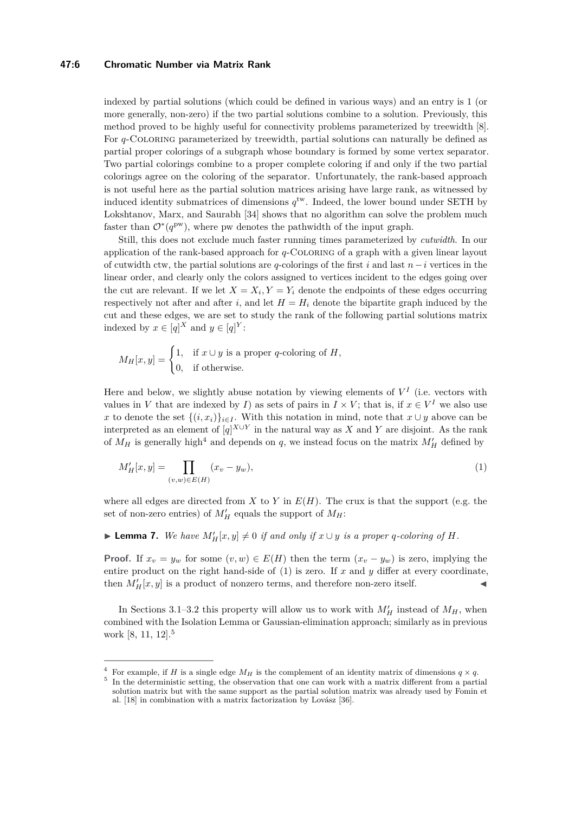## **47:6 Chromatic Number via Matrix Rank**

indexed by partial solutions (which could be defined in various ways) and an entry is 1 (or more generally, non-zero) if the two partial solutions combine to a solution. Previously, this method proved to be highly useful for connectivity problems parameterized by treewidth [\[8\]](#page-12-6). For *q*-Coloring parameterized by treewidth, partial solutions can naturally be defined as partial proper colorings of a subgraph whose boundary is formed by some vertex separator. Two partial colorings combine to a proper complete coloring if and only if the two partial colorings agree on the coloring of the separator. Unfortunately, the rank-based approach is not useful here as the partial solution matrices arising have large rank, as witnessed by induced identity submatrices of dimensions  $q^{\text{tw}}$ . Indeed, the lower bound under SETH by Lokshtanov, Marx, and Saurabh [\[34\]](#page-14-4) shows that no algorithm can solve the problem much faster than  $\mathcal{O}^*(q^{\text{pw}})$ , where pw denotes the pathwidth of the input graph.

Still, this does not exclude much faster running times parameterized by *cutwidth*. In our application of the rank-based approach for *q*-Coloring of a graph with a given linear layout of cutwidth ctw, the partial solutions are *q*-colorings of the first *i* and last *n*−*i* vertices in the linear order, and clearly only the colors assigned to vertices incident to the edges going over the cut are relevant. If we let  $X = X_i, Y = Y_i$  denote the endpoints of these edges occurring respectively not after and after *i*, and let  $H = H_i$  denote the bipartite graph induced by the cut and these edges, we are set to study the rank of the following partial solutions matrix indexed by  $x \in [q]^X$  and  $y \in [q]^Y$ :

$$
M_H[x, y] = \begin{cases} 1, & \text{if } x \cup y \text{ is a proper } q\text{-coloring of } H, \\ 0, & \text{if otherwise.} \end{cases}
$$

Here and below, we slightly abuse notation by viewing elements of  $V^I$  (i.e. vectors with values in *V* that are indexed by *I*) as sets of pairs in  $I \times V$ ; that is, if  $x \in V^I$  we also use *x* to denote the set  $\{(i, x_i)\}_{i \in I}$ . With this notation in mind, note that  $x \cup y$  above can be interpreted as an element of  $[q]^{X \cup Y}$  in the natural way as *X* and *Y* are disjoint. As the rank of  $M_H$  is generally high<sup>[4](#page-5-0)</sup> and depends on *q*, we instead focus on the matrix  $M'_H$  defined by

<span id="page-5-1"></span>
$$
M_H'[x, y] = \prod_{(v, w) \in E(H)} (x_v - y_w),
$$
\n(1)

where all edges are directed from *X* to *Y* in  $E(H)$ . The crux is that the support (e.g. the set of non-zero entries) of  $M'_H$  equals the support of  $M_H$ :

# <span id="page-5-3"></span>▶ **Lemma 7.** *We have*  $M'_H[x, y] \neq 0$  *if and only if*  $x \cup y$  *is a proper q-coloring of H*.

**Proof.** If  $x_v = y_w$  for some  $(v, w) \in E(H)$  then the term  $(x_v - y_w)$  is zero, implying the entire product on the right hand-side of [\(1\)](#page-5-1) is zero. If *x* and *y* differ at every coordinate, then  $M'_H[x, y]$  is a product of nonzero terms, and therefore non-zero itself.

In Sections [3.1](#page-6-0)[–3.2](#page-8-0) this property will allow us to work with  $M'_H$  instead of  $M_H$ , when combined with the Isolation Lemma or Gaussian-elimination approach; similarly as in previous work [\[8,](#page-12-6) [11,](#page-12-7) [12\]](#page-12-8).<sup>[5](#page-5-2)</sup>

<span id="page-5-0"></span><sup>&</sup>lt;sup>4</sup> For example, if *H* is a single edge  $M_H$  is the complement of an identity matrix of dimensions  $q \times q$ .

<span id="page-5-2"></span><sup>&</sup>lt;sup>5</sup> In the deterministic setting, the observation that one can work with a matrix different from a partial solution matrix but with the same support as the partial solution matrix was already used by Fomin et al. [\[18\]](#page-13-14) in combination with a matrix factorization by Lovász [\[36\]](#page-14-9).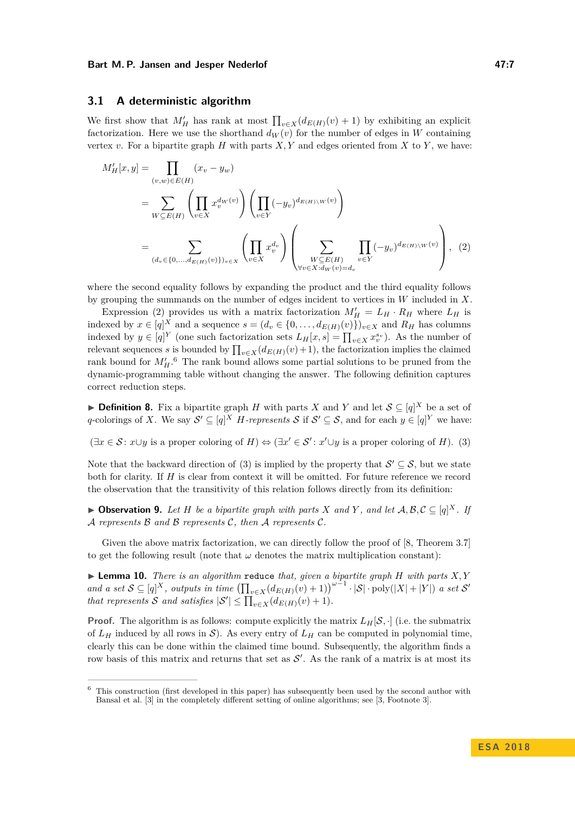# <span id="page-6-0"></span>**3.1 A deterministic algorithm**

We first show that  $M'_H$  has rank at most  $\prod_{v \in X} (d_{E(H)}(v) + 1)$  by exhibiting an explicit factorization. Here we use the shorthand  $d_W(v)$  for the number of edges in *W* containing vertex  $v$ . For a bipartite graph  $H$  with parts  $X, Y$  and edges oriented from  $X$  to  $Y$ , we have:

<span id="page-6-1"></span>
$$
M'_{H}[x,y] = \prod_{(v,w)\in E(H)} (x_v - y_w)
$$
  
= 
$$
\sum_{W \subseteq E(H)} \left( \prod_{v \in X} x_v^{d_W(v)} \right) \left( \prod_{v \in Y} (-y_v)^{d_{E(H)} \setminus W(v)} \right)
$$
  
= 
$$
\sum_{(d_v \in \{0, ..., d_{E(H)}(v)\})_{v \in X}} \left( \prod_{v \in X} x_v^{d_v} \right) \left( \sum_{\substack{W \subseteq E(H) \\ \forall v \in X : d_W(v) = d_v}} \prod_{v \in Y} (-y_v)^{d_{E(H)} \setminus W(v)} \right), (2)
$$

where the second equality follows by expanding the product and the third equality follows by grouping the summands on the number of edges incident to vertices in *W* included in *X*.

Expression [\(2\)](#page-6-1) provides us with a matrix factorization  $M'_H = L_H \cdot R_H$  where  $L_H$  is indexed by  $x \in [q]^X$  and a sequence  $s = (d_v \in \{0, \ldots, d_{E(H)}(v)\})_{v \in X}$  and  $R_H$  has columns indexed by  $y \in [q]^Y$  (one such factorization sets  $L_H[x, s] = \prod_{v \in X} x_v^{s_v}$ ). As the number of relevant sequences *s* is bounded by  $\prod_{v \in X} (d_{E(H)}(v) + 1)$ , the factorization implies the claimed rank bound for  $M'_H$ .<sup>[6](#page-6-2)</sup> The rank bound allows some partial solutions to be pruned from the dynamic-programming table without changing the answer. The following definition captures correct reduction steps.

▶ **Definition 8.** Fix a bipartite graph *H* with parts *X* and *Y* and let  $S \subseteq [q]^X$  be a set of *q*-colorings of *X*. We say  $\mathcal{S}' \subseteq [q]^X$  *H*-represents  $\mathcal{S}$  if  $\mathcal{S}' \subseteq \mathcal{S}$ , and for each  $y \in [q]^Y$  we have:

<span id="page-6-3"></span> $(\exists x \in S : x \cup y \text{ is a proper coloring of } H) \Leftrightarrow (\exists x' \in S' : x' \cup y \text{ is a proper coloring of } H).$  (3)

Note that the backward direction of [\(3\)](#page-6-3) is implied by the property that  $\mathcal{S}' \subseteq \mathcal{S}$ , but we state both for clarity. If *H* is clear from context it will be omitted. For future reference we record the observation that the transitivity of this relation follows directly from its definition:

<span id="page-6-5"></span>▶ Observation 9. Let *H* be a bipartite graph with parts *X* and *Y*, and let  $A, B, C \subseteq [q]^X$ . If A *represents* B *and* B *represents* C*, then* A *represents* C*.*

Given the above matrix factorization, we can directly follow the proof of  $[8,$  Theorem 3.7] to get the following result (note that  $\omega$  denotes the matrix multiplication constant):

<span id="page-6-4"></span> $\blacktriangleright$  **Lemma 10.** *There is an algorithm* reduce *that, given a bipartite graph H with parts X,Y and a set*  $S \subseteq [q]^X$ , *outputs in time*  $(\prod_{v \in X} (d_{E(H)}(v) + 1))^{w-1} \cdot |S| \cdot \text{poly}(|X| + |Y|)$  *a set*  $S'$ *that represents*  $S$  *and satisfies*  $|S'| \le \prod_{v \in X} (d_{E(H)}(v) + 1)$ *.* 

**Proof.** The algorithm is as follows: compute explicitly the matrix  $L_H[\mathcal{S}, \cdot]$  (i.e. the submatrix of  $L_H$  induced by all rows in S). As every entry of  $L_H$  can be computed in polynomial time, clearly this can be done within the claimed time bound. Subsequently, the algorithm finds a row basis of this matrix and returns that set as  $\mathcal{S}'$ . As the rank of a matrix is at most its

<span id="page-6-2"></span><sup>6</sup> This construction (first developed in this paper) has subsequently been used by the second author with Bansal et al. [\[3\]](#page-12-11) in the completely different setting of online algorithms; see [\[3,](#page-12-11) Footnote 3].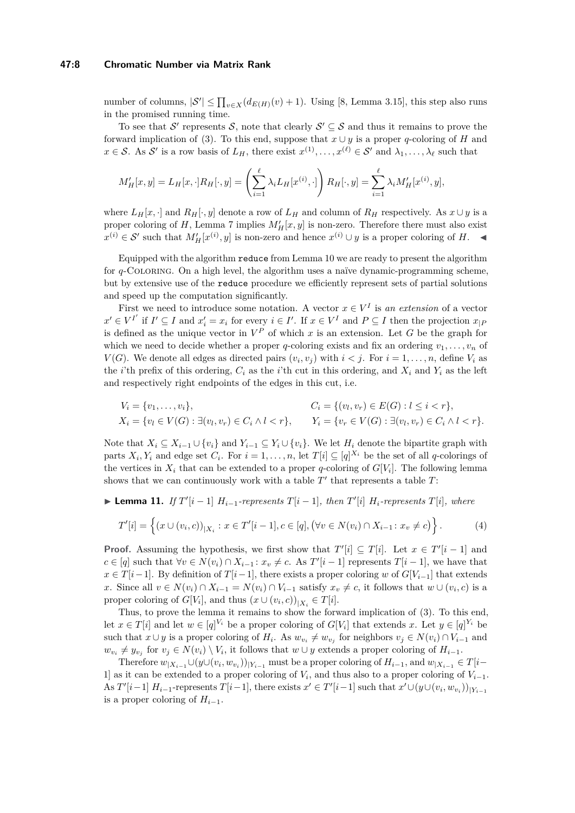## **47:8 Chromatic Number via Matrix Rank**

number of columns,  $|S'| \le \prod_{v \in X} (d_{E(H)}(v) + 1)$ . Using [\[8,](#page-12-6) Lemma 3.15], this step also runs in the promised running time.

To see that  $\mathcal{S}'$  represents  $\mathcal{S}$ , note that clearly  $\mathcal{S}' \subseteq \mathcal{S}$  and thus it remains to prove the forward implication of [\(3\)](#page-6-3). To this end, suppose that  $x \cup y$  is a proper *q*-coloring of *H* and  $x \in S$ . As S' is a row basis of  $L_H$ , there exist  $x^{(1)}, \ldots, x^{(\ell)} \in S'$  and  $\lambda_1, \ldots, \lambda_\ell$  such that

$$
M'_H[x,y] = L_H[x, \cdot]R_H[\cdot, y] = \left(\sum_{i=1}^{\ell} \lambda_i L_H[x^{(i)}, \cdot]\right)R_H[\cdot, y] = \sum_{i=1}^{\ell} \lambda_i M'_H[x^{(i)}, y],
$$

where  $L_H[x, \cdot]$  and  $R_H[\cdot, y]$  denote a row of  $L_H$  and column of  $R_H$  respectively. As  $x \cup y$  is a proper coloring of *H*, Lemma [7](#page-5-3) implies  $M'_H[x, y]$  is non-zero. Therefore there must also exist  $x^{(i)} \in S'$  such that  $M'_H[x^{(i)}, y]$  is non-zero and hence  $x^{(i)} \cup y$  is a proper coloring of *H*.  $\triangleleft$ 

Equipped with the algorithm reduce from Lemma [10](#page-6-4) we are ready to present the algorithm for *q*-Coloring. On a high level, the algorithm uses a naïve dynamic-programming scheme, but by extensive use of the reduce procedure we efficiently represent sets of partial solutions and speed up the computation significantly.

First we need to introduce some notation. A vector  $x \in V^I$  is an extension of a vector  $x' \in V^{I'}$  if  $I' \subseteq I$  and  $x'_i = x_i$  for every  $i \in I'$ . If  $x \in V^I$  and  $P \subseteq I$  then the projection  $x_{|P}$ is defined as the unique vector in  $V^P$  of which x is an extension. Let G be the graph for which we need to decide whether a proper *q*-coloring exists and fix an ordering  $v_1, \ldots, v_n$  of *V*(*G*). We denote all edges as directed pairs  $(v_i, v_j)$  with  $i < j$ . For  $i = 1, \ldots, n$ , define  $V_i$  as the *i*'th prefix of this ordering,  $C_i$  as the *i*'th cut in this ordering, and  $X_i$  and  $Y_i$  as the left and respectively right endpoints of the edges in this cut, i.e.

$$
V_i = \{v_1, \ldots, v_i\},
$$
  
\n
$$
C_i = \{(v_l, v_r) \in E(G) : l \le i < r\},
$$
  
\n
$$
X_i = \{v_l \in V(G) : \exists (v_l, v_r) \in C_i \land l < r\},
$$
  
\n
$$
Y_i = \{v_r \in V(G) : \exists (v_l, v_r) \in C_i \land l < r\}.
$$

Note that  $X_i \subseteq X_{i-1} \cup \{v_i\}$  and  $Y_{i-1} \subseteq Y_i \cup \{v_i\}$ . We let  $H_i$  denote the bipartite graph with parts  $X_i, Y_i$  and edge set  $C_i$ . For  $i = 1, \ldots, n$ , let  $T[i] \subseteq [q]^{X_i}$  be the set of all *q*-colorings of the vertices in  $X_i$  that can be extended to a proper *q*-coloring of  $G[V_i]$ . The following lemma shows that we can continuously work with a table  $T'$  that represents a table  $T$ :

<span id="page-7-1"></span>▶ **Lemma 11.** *If*  $T'[i-1]$   $H_{i-1}$ -represents  $T[i-1]$ *, then*  $T'[i]$   $H_i$ -represents  $T[i]$ *, where* 

<span id="page-7-0"></span>
$$
T'[i] = \left\{ (x \cup (v_i, c))_{|X_i} : x \in T'[i-1], c \in [q], (\forall v \in N(v_i) \cap X_{i-1} : x_v \neq c) \right\}.
$$
 (4)

**Proof.** Assuming the hypothesis, we first show that  $T'[i] \subseteq T[i]$ . Let  $x \in T'[i-1]$  and  $c \in [q]$  such that  $\forall v \in N(v_i) \cap X_{i-1} : x_v \neq c$ . As  $T'[i-1]$  represents  $T[i-1]$ , we have that *x* ∈ *T*[*i* −1]. By definition of *T*[*i* − 1], there exists a proper coloring *w* of *G*[*V*<sub>*i*−1</sub>] that extends x. Since all  $v \in N(v_i) \cap X_{i-1} = N(v_i) \cap V_{i-1}$  satisfy  $x_v \neq c$ , it follows that  $w \cup (v_i, c)$  is a proper coloring of  $G[V_i]$ , and thus  $(x \cup (v_i, c))_{|X_i} \in T[i]$ .

Thus, to prove the lemma it remains to show the forward implication of [\(3\)](#page-6-3). To this end, let  $x \in T[i]$  and let  $w \in [q]^{V_i}$  be a proper coloring of  $G[V_i]$  that extends  $x$ . Let  $y \in [q]^{Y_i}$  be such that  $x \cup y$  is a proper coloring of  $H_i$ . As  $w_{v_i} \neq w_{v_j}$  for neighbors  $v_j \in N(v_i) \cap V_{i-1}$  and  $w_{v_i} \neq y_{v_j}$  for  $v_j \in N(v_i) \setminus V_i$ , it follows that  $w \cup y$  extends a proper coloring of  $H_{i-1}$ .

Therefore  $w_{|X_{i-1}} \cup (y \cup (v_i, w_{v_i}))_{|Y_{i-1}}$  must be a proper coloring of  $H_{i-1}$ , and  $w_{|X_{i-1}} \in T[i-1]$ 1] as it can be extended to a proper coloring of  $V_i$ , and thus also to a proper coloring of  $V_{i-1}$ . As  $T'[i-1]$   $H_{i-1}$ -represents  $T[i-1]$ , there exists  $x' \in T'[i-1]$  such that  $x' \cup (y \cup (v_i, w_{v_i}))_{|Y_{i-1}}$ is a proper coloring of  $H_{i-1}$ .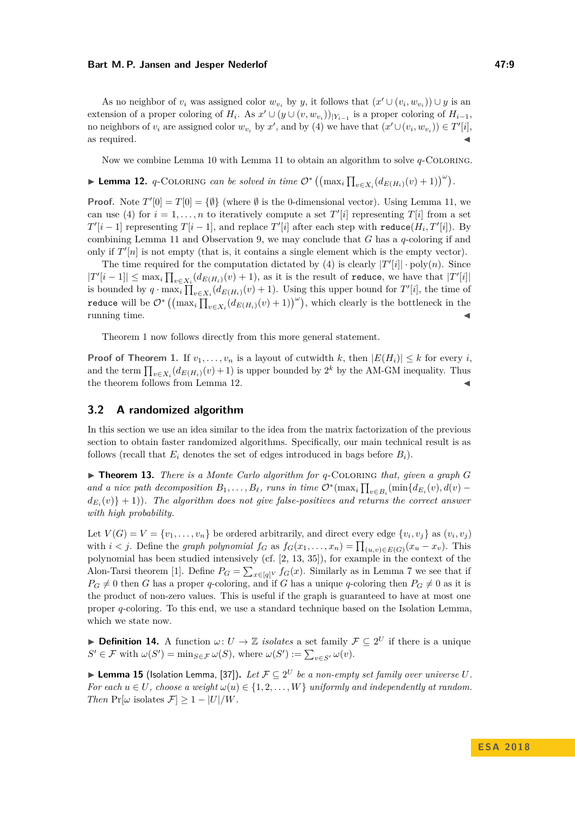As no neighbor of  $v_i$  was assigned color  $w_{v_i}$  by *y*, it follows that  $(x' \cup (v_i, w_{v_i})) \cup y$  is an extension of a proper coloring of  $H_i$ . As  $x' \cup (y \cup (v, w_{v_i}))_{|Y_{i-1}}$  is a proper coloring of  $H_{i-1}$ , no neighbors of  $v_i$  are assigned color  $w_{v_i}$  by  $x'$ , and by [\(4\)](#page-7-0) we have that  $(x' \cup (v_i, w_{v_i})) \in T'[i],$ as required.  $\blacktriangleleft$ 

Now we combine Lemma [10](#page-6-4) with Lemma [11](#page-7-1) to obtain an algorithm to solve *q*-Coloring.

<span id="page-8-1"></span>► Lemma 12. *q*-COLORING *can be solved in time*  $\mathcal{O}^*\left(\left(\max_i \prod_{v \in X_i} (d_{E(H_i)}(v) + 1)\right)^\omega\right)$ .

**Proof.** Note  $T'[0] = T[0] = \{\emptyset\}$  (where  $\emptyset$  is the 0-dimensional vector). Using Lemma [11,](#page-7-1) we can use [\(4\)](#page-7-0) for  $i = 1, ..., n$  to iteratively compute a set  $T'[i]$  representing  $T[i]$  from a set  $T'[i-1]$  representing  $T[i-1]$ , and replace  $T'[i]$  after each step with  $\text{reduce}(H_i, T'[i])$ . By combining Lemma [11](#page-7-1) and Observation [9,](#page-6-5) we may conclude that *G* has a *q*-coloring if and only if  $T'[n]$  is not empty (that is, it contains a single element which is the empty vector).

The time required for the computation dictated by [\(4\)](#page-7-0) is clearly  $|T'[i]| \cdot \text{poly}(n)$ . Since  $|T'[i-1]| \leq \max_i \prod_{v \in X_i} (d_{E(H_i)}(v) + 1)$ , as it is the result of reduce, we have that  $|T'[i]|$ is bounded by  $q \cdot \max_i \prod_{v \in X_i} (d_{E(H_i)}(v) + 1)$ . Using this upper bound for  $T'[i]$ , the time of reduce will be  $\mathcal{O}^*\left(\left(\max_i\prod_{v\in X_i}(d_{E(H_i)}(v)+1)\right)^\omega\right)$ , which clearly is the bottleneck in the running time.  $\blacksquare$ 

Theorem [1](#page-2-0) now follows directly from this more general statement.

**Proof of Theorem [1.](#page-2-0)** If  $v_1, \ldots, v_n$  is a layout of cutwidth k, then  $|E(H_i)| \leq k$  for every *i*, and the term  $\prod_{v \in X_i} (d_{E(H_i)}(v) + 1)$  is upper bounded by 2<sup>k</sup> by the AM-GM inequality. Thus the theorem follows from Lemma [12.](#page-8-1)

# <span id="page-8-0"></span>**3.2 A randomized algorithm**

In this section we use an idea similar to the idea from the matrix factorization of the previous section to obtain faster randomized algorithms. Specifically, our main technical result is as follows (recall that  $E_i$  denotes the set of edges introduced in bags before  $B_i$ ).

<span id="page-8-3"></span>▶ **Theorem 13.** *There is a Monte Carlo algorithm for q*-COLORING *that, given a graph G and a nice path decomposition*  $B_1, \ldots, B_\ell$ *, runs in time*  $\mathcal{O}^*(\max_i \prod_{v \in B_i} (\min \{d_{E_i}(v), d(v) - \ell\})$  $d_{E_i}(v)$  $+$ 1)). The algorithm does not give false-positives and returns the correct answer *with high probability.*

Let  $V(G) = V = \{v_1, \ldots, v_n\}$  be ordered arbitrarily, and direct every edge  $\{v_i, v_j\}$  as  $(v_i, v_j)$ with  $i < j$ . Define the *graph polynomial*  $f_G$  as  $f_G(x_1, \ldots, x_n) = \prod_{(u,v) \in E(G)} (x_u - x_v)$ . This polynomial has been studied intensively (cf. [\[2,](#page-12-12) [13,](#page-12-13) [35\]](#page-14-10)), for example in the context of the Alon-Tarsi theorem [\[1\]](#page-12-4). Define  $P_G = \sum_{x \in [q]^V} f_G(x)$ . Similarly as in Lemma [7](#page-5-3) we see that if  $P_G \neq 0$  then *G* has a proper *q*-coloring, and if *G* has a unique *q*-coloring then  $P_G \neq 0$  as it is the product of non-zero values. This is useful if the graph is guaranteed to have at most one proper *q*-coloring. To this end, we use a standard technique based on the Isolation Lemma, which we state now.

**Definition 14.** A function  $\omega: U \to \mathbb{Z}$  *isolates* a set family  $\mathcal{F} \subseteq 2^U$  if there is a unique  $S' \in \mathcal{F}$  with  $\omega(S') = \min_{S \in \mathcal{F}} \omega(S)$ , where  $\omega(S') := \sum_{v \in S'} \omega(v)$ .

<span id="page-8-2"></span>▶ Lemma 15 (Isolation Lemma, [\[37\]](#page-14-11)). Let  $\mathcal{F} \subseteq 2^U$  be a non-empty set family over universe U. *For each*  $u \in U$ *, choose a weight*  $\omega(u) \in \{1, 2, ..., W\}$  *uniformly and independently at random. Then*  $Pr[\omega \text{ isolates } \mathcal{F}] \geq 1 - |U|/W$ *.*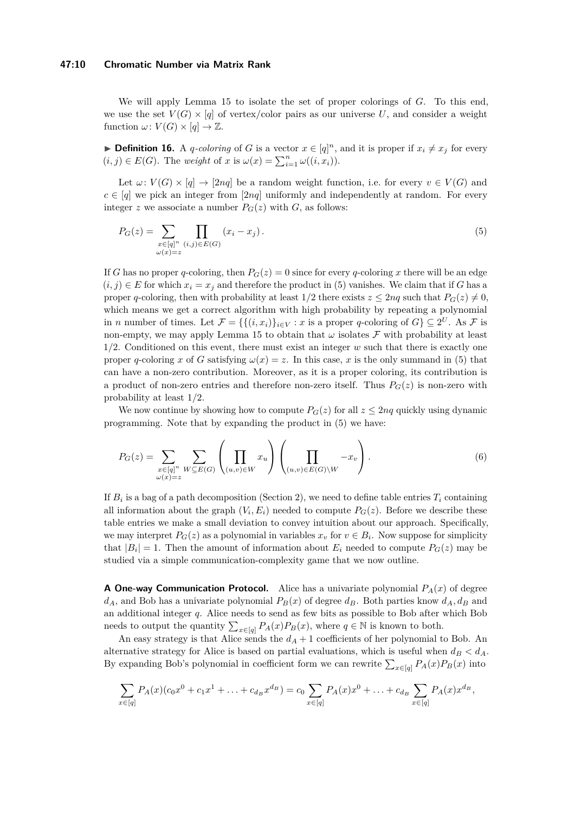#### **47:10 Chromatic Number via Matrix Rank**

We will apply Lemma [15](#page-8-2) to isolate the set of proper colorings of *G*. To this end, we use the set  $V(G) \times [q]$  of vertex/color pairs as our universe U, and consider a weight function  $\omega: V(G) \times [q] \rightarrow \mathbb{Z}$ .

▶ **Definition 16.** A *q*-coloring of *G* is a vector  $x \in [q]^n$ , and it is proper if  $x_i \neq x_j$  for every  $(i, j) \in E(G)$ . The *weight* of *x* is  $\omega(x) = \sum_{i=1}^{n} \omega((i, x_i))$ .

Let  $\omega: V(G) \times [q] \to [2nq]$  be a random weight function, i.e. for every  $v \in V(G)$  and  $c \in [q]$  we pick an integer from [2*nq*] uniformly and independently at random. For every integer *z* we associate a number  $P_G(z)$  with *G*, as follows:

<span id="page-9-0"></span>
$$
P_G(z) = \sum_{\substack{x \in [q]^n \ (i,j) \in E(G)}} \prod_{(x_i - x_j)} (x_i - x_j). \tag{5}
$$

If *G* has no proper *q*-coloring, then  $P_G(z) = 0$  since for every *q*-coloring *x* there will be an edge  $(i, j) \in E$  for which  $x_i = x_j$  and therefore the product in [\(5\)](#page-9-0) vanishes. We claim that if *G* has a proper *q*-coloring, then with probability at least  $1/2$  there exists  $z \le 2nq$  such that  $P_G(z) \ne 0$ , which means we get a correct algorithm with high probability by repeating a polynomial in *n* number of times. Let  $\mathcal{F} = \{ \{ (i, x_i) \}_{i \in V} : x \text{ is a proper } q\text{-coloring of } G \} \subseteq 2^U$ . As  $\mathcal{F}$  is non-empty, we may apply Lemma [15](#page-8-2) to obtain that  $\omega$  isolates  $\mathcal F$  with probability at least 1*/*2. Conditioned on this event, there must exist an integer *w* such that there is exactly one proper *q*-coloring *x* of *G* satisfying  $\omega(x) = z$ . In this case, *x* is the only summand in [\(5\)](#page-9-0) that can have a non-zero contribution. Moreover, as it is a proper coloring, its contribution is a product of non-zero entries and therefore non-zero itself. Thus  $P_G(z)$  is non-zero with probability at least 1*/*2.

We now continue by showing how to compute  $P_G(z)$  for all  $z \leq 2nq$  quickly using dynamic programming. Note that by expanding the product in [\(5\)](#page-9-0) we have:

$$
P_G(z) = \sum_{\substack{x \in [q]^n \\ \omega(x) = z}} \sum_{W \subseteq E(G)} \left( \prod_{(u,v) \in W} x_u \right) \left( \prod_{(u,v) \in E(G) \setminus W} -x_v \right).
$$
 (6)

If  $B_i$  is a bag of a path decomposition (Section [2\)](#page-3-0), we need to define table entries  $T_i$  containing all information about the graph  $(V_i, E_i)$  needed to compute  $P_G(z)$ . Before we describe these table entries we make a small deviation to convey intuition about our approach. Specifically, we may interpret  $P_G(z)$  as a polynomial in variables  $x_v$  for  $v \in B_i$ . Now suppose for simplicity that  $|B_i| = 1$ . Then the amount of information about  $E_i$  needed to compute  $P_G(z)$  may be studied via a simple communication-complexity game that we now outline.

**A One-way Communication Protocol.** Alice has a univariate polynomial  $P_A(x)$  of degree  $d_A$ , and Bob has a univariate polynomial  $P_B(x)$  of degree  $d_B$ . Both parties know  $d_A$ ,  $d_B$  and an additional integer *q*. Alice needs to send as few bits as possible to Bob after which Bob needs to output the quantity  $\sum_{x \in [q]} P_A(x) P_B(x)$ , where  $q \in \mathbb{N}$  is known to both.

An easy strategy is that Alice sends the  $d_A + 1$  coefficients of her polynomial to Bob. An alternative strategy for Alice is based on partial evaluations, which is useful when  $d_B < d_A$ . By expanding Bob's polynomial in coefficient form we can rewrite  $\sum_{x \in [q]} P_A(x) P_B(x)$  into

$$
\sum_{x \in [q]} P_A(x)(c_0 x^0 + c_1 x^1 + \ldots + c_{d_B} x^{d_B}) = c_0 \sum_{x \in [q]} P_A(x) x^0 + \ldots + c_{d_B} \sum_{x \in [q]} P_A(x) x^{d_B},
$$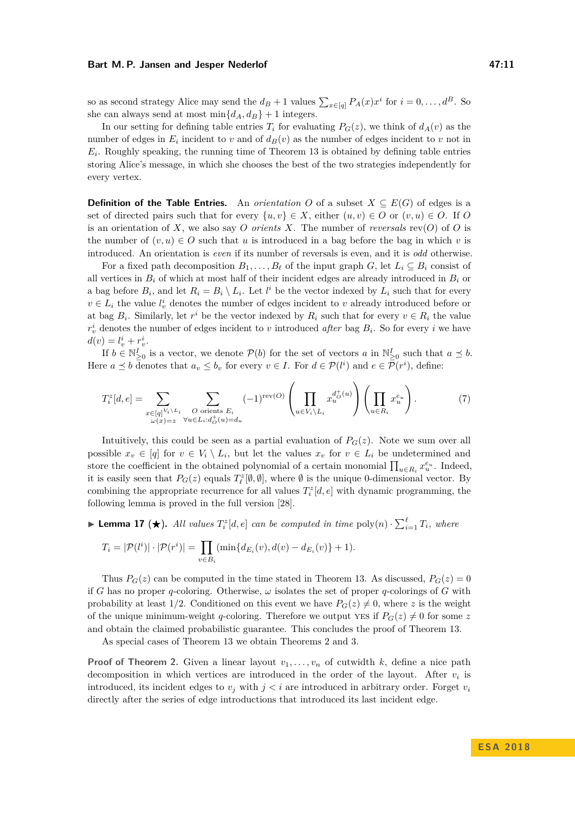so as second strategy Alice may send the  $d_B + 1$  values  $\sum_{x \in [q]} P_A(x) x^i$  for  $i = 0, \ldots, d^B$ . So she can always send at most  $\min\{d_A, d_B\} + 1$  integers.

In our setting for defining table entries  $T_i$  for evaluating  $P_G(z)$ , we think of  $d_A(v)$  as the number of edges in  $E_i$  incident to *v* and of  $d_B(v)$  as the number of edges incident to *v* not in  $E_i$ . Roughly speaking, the running time of Theorem [13](#page-8-3) is obtained by defining table entries storing Alice's message, in which she chooses the best of the two strategies independently for every vertex.

**Definition of the Table Entries.** An *orientation O* of a subset  $X \subseteq E(G)$  of edges is a set of directed pairs such that for every  $\{u, v\} \in X$ , either  $(u, v) \in O$  or  $(v, u) \in O$ . If *O* is an orientation of  $X$ , we also say  $O$  *orients*  $X$ . The number of *reversals* rev( $O$ ) of  $O$  is the number of  $(v, u) \in O$  such that *u* is introduced in a bag before the bag in which *v* is introduced. An orientation is *even* if its number of reversals is even, and it is *odd* otherwise.

For a fixed path decomposition  $B_1, \ldots, B_\ell$  of the input graph  $G$ , let  $L_i \subseteq B_i$  consist of all vertices in  $B_i$  of which at most half of their incident edges are already introduced in  $B_i$  or a bag before  $B_i$ , and let  $R_i = B_i \setminus L_i$ . Let  $l^i$  be the vector indexed by  $L_i$  such that for every  $v \in L_i$  the value  $l_v^i$  denotes the number of edges incident to *v* already introduced before or at bag  $B_i$ . Similarly, let  $r^i$  be the vector indexed by  $R_i$  such that for every  $v \in R_i$  the value  $r_v^i$  denotes the number of edges incident to *v* introduced *after* bag  $B_i$ . So for every *i* we have  $d(v) = l_v^i + r_v^i.$ 

If  $b \in \mathbb{N}_{\geq 0}^I$  is a vector, we denote  $\mathcal{P}(b)$  for the set of vectors *a* in  $\mathbb{N}_{\geq 0}^I$  such that  $a \preceq b$ . Here  $a \preceq b$  denotes that  $a_v \leq b_v$  for every  $v \in I$ . For  $d \in \mathcal{P}(l^i)$  and  $e \in \mathcal{P}(r^i)$ , define:

$$
T_i^z[d, e] = \sum_{\substack{x \in [q]^{V_i \setminus L_i} \\ \omega(x) = z}} \sum_{\substack{O \text{ orients } E_i \\ \forall u \in L_i : d_O^+(u) = d_u}} (-1)^{\text{rev}(O)} \left( \prod_{u \in V_i \setminus L_i} x_u^{d_O^+(u)} \right) \left( \prod_{u \in R_i} x_u^{e_u} \right). \tag{7}
$$

Intuitively, this could be seen as a partial evaluation of  $P_G(z)$ . Note we sum over all possible  $x_v \in [q]$  for  $v \in V_i \setminus L_i$ , but let the values  $x_v$  for  $v \in L_i$  be undetermined and store the coefficient in the obtained polynomial of a certain monomial  $\prod_{u \in R_i} x_u^{e_u}$ . Indeed, it is easily seen that  $P_G(z)$  equals  $T^z_{\ell}[\emptyset, \emptyset]$ , where  $\emptyset$  is the unique 0-dimensional vector. By combining the appropriate recurrence for all values  $T_i^z[d, e]$  with dynamic programming, the following lemma is proved in the full version [\[28\]](#page-13-0).

**Example 17** ( $\star$ ). All values  $T_i^z[d, e]$  can be computed in time  $\text{poly}(n) \cdot \sum_{i=1}^{\ell} T_i$ , where

$$
T_i = |\mathcal{P}(l^i)| \cdot |\mathcal{P}(r^i)| = \prod_{v \in B_i} (\min\{d_{E_i}(v), d(v) - d_{E_i}(v)\} + 1).
$$

Thus  $P_G(z)$  can be computed in the time stated in Theorem [13.](#page-8-3) As discussed,  $P_G(z) = 0$ if *G* has no proper *q*-coloring. Otherwise, *ω* isolates the set of proper *q*-colorings of *G* with probability at least 1/2. Conditioned on this event we have  $P_G(z) \neq 0$ , where *z* is the weight of the unique minimum-weight *q*-coloring. Therefore we output yes if  $P_G(z) \neq 0$  for some *z* and obtain the claimed probabilistic guarantee. This concludes the proof of Theorem [13.](#page-8-3)

As special cases of Theorem [13](#page-8-3) we obtain Theorems [2](#page-2-1) and [3.](#page-2-2)

**Proof of Theorem [2.](#page-2-1)** Given a linear layout  $v_1, \ldots, v_n$  of cutwidth *k*, define a nice path decomposition in which vertices are introduced in the order of the layout. After  $v_i$  is introduced, its incident edges to  $v_j$  with  $j < i$  are introduced in arbitrary order. Forget  $v_i$ directly after the series of edge introductions that introduced its last incident edge.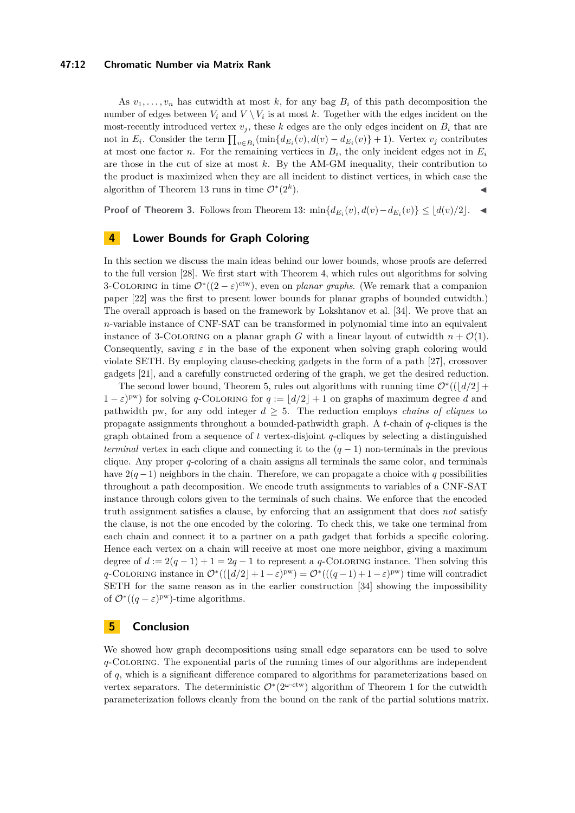## **47:12 Chromatic Number via Matrix Rank**

As  $v_1, \ldots, v_n$  has cutwidth at most k, for any bag  $B_i$  of this path decomposition the number of edges between  $V_i$  and  $V \setminus V_i$  is at most k. Together with the edges incident on the most-recently introduced vertex  $v_j$ , these k edges are the only edges incident on  $B_i$  that are not in  $E_i$ . Consider the term  $\prod_{v \in B_i} (\min\{d_{E_i}(v), d(v) - d_{E_i}(v)\} + 1)$ . Vertex  $v_j$  contributes at most one factor *n*. For the remaining vertices in  $B_i$ , the only incident edges not in  $E_i$ are those in the cut of size at most *k*. By the AM-GM inequality, their contribution to the product is maximized when they are all incident to distinct vertices, in which case the algorithm of Theorem [13](#page-8-3) runs in time  $\mathcal{O}^*(2^k)$  $\blacksquare$ ).

**Proof of Theorem [3.](#page-2-2)** Follows from Theorem [13:](#page-8-3)  $\min\{d_{E_i}(v), d(v) - d_{E_i}(v)\}$  ≤  $\lfloor d(v)/2 \rfloor$ . ◀

# <span id="page-11-0"></span>**4 Lower Bounds for Graph Coloring**

In this section we discuss the main ideas behind our lower bounds, whose proofs are deferred to the full version [\[28\]](#page-13-0). We first start with Theorem [4,](#page-2-3) which rules out algorithms for solving 3-COLORING in time  $\mathcal{O}^*((2-\varepsilon)^{\text{ctw}})$ , even on *planar graphs*. (We remark that a companion paper [\[22\]](#page-13-15) was the first to present lower bounds for planar graphs of bounded cutwidth.) The overall approach is based on the framework by Lokshtanov et al. [\[34\]](#page-14-4). We prove that an *n*-variable instance of CNF-SAT can be transformed in polynomial time into an equivalent instance of 3-COLORING on a planar graph *G* with a linear layout of cutwidth  $n + \mathcal{O}(1)$ . Consequently, saving  $\varepsilon$  in the base of the exponent when solving graph coloring would violate SETH. By employing clause-checking gadgets in the form of a path [\[27\]](#page-13-6), crossover gadgets [\[21\]](#page-13-3), and a carefully constructed ordering of the graph, we get the desired reduction.

The second lower bound, Theorem [5,](#page-3-1) rules out algorithms with running time  $\mathcal{O}^*((d/2]+$  $(1 - \varepsilon)^{pw}$  for solving *q*-COLORING for  $q := |d/2| + 1$  on graphs of maximum degree *d* and pathwidth pw, for any odd integer  $d \geq 5$ . The reduction employs *chains of cliques* to propagate assignments throughout a bounded-pathwidth graph. A *t*-chain of *q*-cliques is the graph obtained from a sequence of *t* vertex-disjoint *q*-cliques by selecting a distinguished *terminal* vertex in each clique and connecting it to the  $(q - 1)$  non-terminals in the previous clique. Any proper *q*-coloring of a chain assigns all terminals the same color, and terminals have  $2(q-1)$  neighbors in the chain. Therefore, we can propagate a choice with q possibilities throughout a path decomposition. We encode truth assignments to variables of a CNF-SAT instance through colors given to the terminals of such chains. We enforce that the encoded truth assignment satisfies a clause, by enforcing that an assignment that does *not* satisfy the clause, is not the one encoded by the coloring. To check this, we take one terminal from each chain and connect it to a partner on a path gadget that forbids a specific coloring. Hence each vertex on a chain will receive at most one more neighbor, giving a maximum degree of  $d := 2(q - 1) + 1 = 2q - 1$  to represent a q-COLORING instance. Then solving this  $q$ -COLORING instance in  $\mathcal{O}^*((\lfloor d/2 \rfloor + 1 - \varepsilon)^{pw}) = \mathcal{O}^*((\lfloor (q-1) + 1 - \varepsilon)^{pw})$  time will contradict SETH for the same reason as in the earlier construction [\[34\]](#page-14-4) showing the impossibility of  $\mathcal{O}^*((q-\varepsilon)^{pw})$ -time algorithms.

# <span id="page-11-1"></span>**5 Conclusion**

We showed how graph decompositions using small edge separators can be used to solve *q*-Coloring. The exponential parts of the running times of our algorithms are independent of *q*, which is a significant difference compared to algorithms for parameterizations based on vertex separators. The deterministic O<sup>∗</sup> (2*<sup>ω</sup>*·ctw) algorithm of Theorem [1](#page-2-0) for the cutwidth parameterization follows cleanly from the bound on the rank of the partial solutions matrix.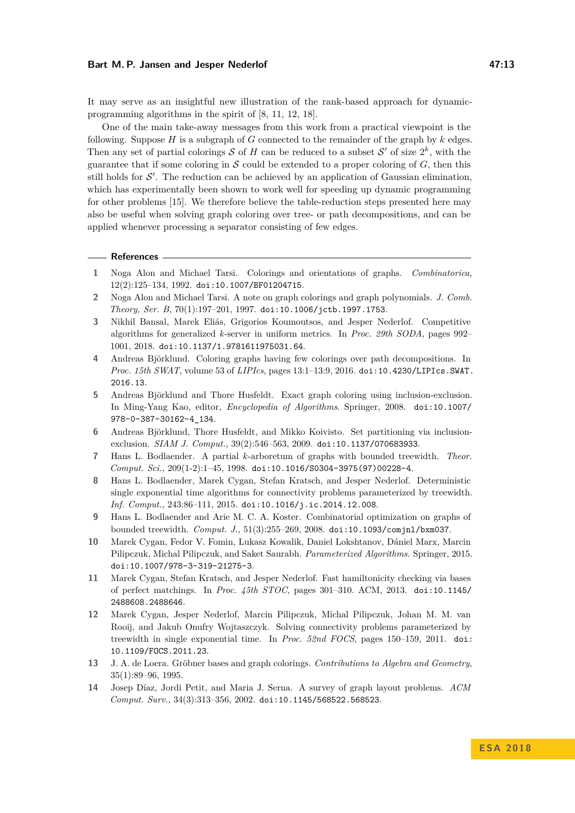It may serve as an insightful new illustration of the rank-based approach for dynamicprogramming algorithms in the spirit of [\[8,](#page-12-6) [11,](#page-12-7) [12,](#page-12-8) [18\]](#page-13-14).

One of the main take-away messages from this work from a practical viewpoint is the following. Suppose *H* is a subgraph of *G* connected to the remainder of the graph by *k* edges. Then any set of partial colorings S of H can be reduced to a subset S' of size  $2^k$ , with the guarantee that if some coloring in  $S$  could be extended to a proper coloring of  $G$ , then this still holds for  $\mathcal{S}'$ . The reduction can be achieved by an application of Gaussian elimination, which has experimentally been shown to work well for speeding up dynamic programming for other problems [\[15\]](#page-13-16). We therefore believe the table-reduction steps presented here may also be useful when solving graph coloring over tree- or path decompositions, and can be applied whenever processing a separator consisting of few edges.

#### **References**

- <span id="page-12-4"></span>**1** Noga Alon and Michael Tarsi. Colorings and orientations of graphs. *Combinatorica*, 12(2):125–134, 1992. [doi:10.1007/BF01204715](http://dx.doi.org/10.1007/BF01204715).
- <span id="page-12-12"></span>**2** Noga Alon and Michael Tarsi. A note on graph colorings and graph polynomials. *J. Comb. Theory, Ser. B*, 70(1):197–201, 1997. [doi:10.1006/jctb.1997.1753](http://dx.doi.org/10.1006/jctb.1997.1753).
- <span id="page-12-11"></span>**3** Nikhil Bansal, Marek Eliás, Grigorios Koumoutsos, and Jesper Nederlof. Competitive algorithms for generalized *k*-server in uniform metrics. In *Proc. 29th SODA*, pages 992– 1001, 2018. [doi:10.1137/1.9781611975031.64](http://dx.doi.org/10.1137/1.9781611975031.64).
- <span id="page-12-3"></span>**4** Andreas Björklund. Coloring graphs having few colorings over path decompositions. In *Proc. 15th SWAT*, volume 53 of *LIPIcs*, pages 13:1–13:9, 2016. [doi:10.4230/LIPIcs.SWAT.](http://dx.doi.org/10.4230/LIPIcs.SWAT.2016.13) [2016.13](http://dx.doi.org/10.4230/LIPIcs.SWAT.2016.13).
- <span id="page-12-0"></span>**5** Andreas Björklund and Thore Husfeldt. Exact graph coloring using inclusion-exclusion. In Ming-Yang Kao, editor, *Encyclopedia of Algorithms*. Springer, 2008. [doi:10.1007/](http://dx.doi.org/10.1007/978-0-387-30162-4_134) [978-0-387-30162-4\\_134](http://dx.doi.org/10.1007/978-0-387-30162-4_134).
- <span id="page-12-1"></span>**6** Andreas Björklund, Thore Husfeldt, and Mikko Koivisto. Set partitioning via inclusionexclusion. *SIAM J. Comput.*, 39(2):546–563, 2009. [doi:10.1137/070683933](http://dx.doi.org/10.1137/070683933).
- <span id="page-12-9"></span>**7** Hans L. Bodlaender. A partial *k*-arboretum of graphs with bounded treewidth. *Theor. Comput. Sci.*, 209(1-2):1–45, 1998. [doi:10.1016/S0304-3975\(97\)00228-4](http://dx.doi.org/10.1016/S0304-3975(97)00228-4).
- <span id="page-12-6"></span>**8** Hans L. Bodlaender, Marek Cygan, Stefan Kratsch, and Jesper Nederlof. Deterministic single exponential time algorithms for connectivity problems parameterized by treewidth. *Inf. Comput.*, 243:86–111, 2015. [doi:10.1016/j.ic.2014.12.008](http://dx.doi.org/10.1016/j.ic.2014.12.008).
- <span id="page-12-10"></span>**9** Hans L. Bodlaender and Arie M. C. A. Koster. Combinatorial optimization on graphs of bounded treewidth. *Comput. J.*, 51(3):255–269, 2008. [doi:10.1093/comjnl/bxm037](http://dx.doi.org/10.1093/comjnl/bxm037).
- <span id="page-12-2"></span>**10** Marek Cygan, Fedor V. Fomin, Lukasz Kowalik, Daniel Lokshtanov, Dániel Marx, Marcin Pilipczuk, Michal Pilipczuk, and Saket Saurabh. *Parameterized Algorithms*. Springer, 2015. [doi:10.1007/978-3-319-21275-3](http://dx.doi.org/10.1007/978-3-319-21275-3).
- <span id="page-12-7"></span>**11** Marek Cygan, Stefan Kratsch, and Jesper Nederlof. Fast hamiltonicity checking via bases of perfect matchings. In *Proc. 45th STOC*, pages 301–310. ACM, 2013. [doi:10.1145/](http://dx.doi.org/10.1145/2488608.2488646) [2488608.2488646](http://dx.doi.org/10.1145/2488608.2488646).
- <span id="page-12-8"></span>**12** Marek Cygan, Jesper Nederlof, Marcin Pilipczuk, Michal Pilipczuk, Johan M. M. van Rooij, and Jakub Onufry Wojtaszczyk. Solving connectivity problems parameterized by treewidth in single exponential time. In *Proc. 52nd FOCS*, pages 150–159, 2011. [doi:](http://dx.doi.org/10.1109/FOCS.2011.23) [10.1109/FOCS.2011.23](http://dx.doi.org/10.1109/FOCS.2011.23).
- <span id="page-12-13"></span>**13** J. A. de Loera. Gröbner bases and graph colorings. *Contributions to Algebra and Geometry*, 35(1):89–96, 1995.
- <span id="page-12-5"></span>**14** Josep Díaz, Jordi Petit, and Maria J. Serna. A survey of graph layout problems. *ACM Comput. Surv.*, 34(3):313–356, 2002. [doi:10.1145/568522.568523](http://dx.doi.org/10.1145/568522.568523).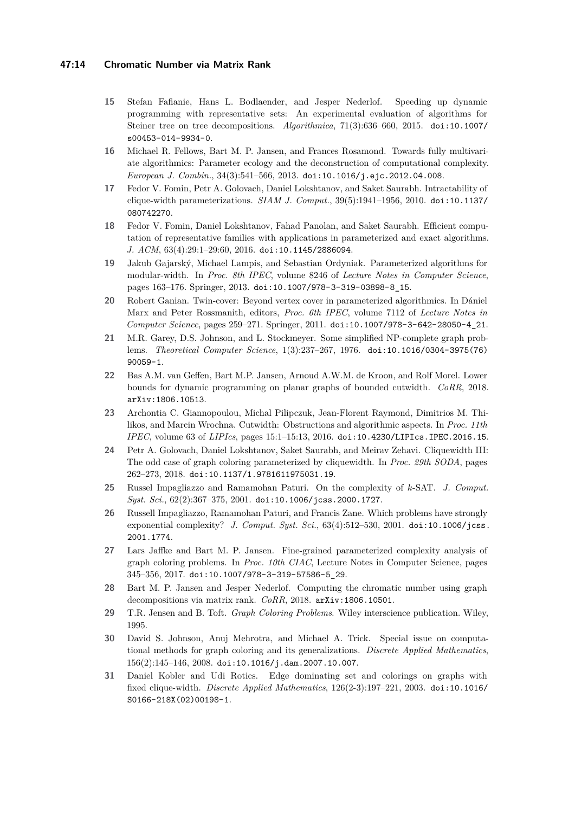- <span id="page-13-16"></span>**15** Stefan Fafianie, Hans L. Bodlaender, and Jesper Nederlof. Speeding up dynamic programming with representative sets: An experimental evaluation of algorithms for Steiner tree on tree decompositions. *Algorithmica*, 71(3):636–660, 2015. [doi:10.1007/](http://dx.doi.org/10.1007/s00453-014-9934-0) [s00453-014-9934-0](http://dx.doi.org/10.1007/s00453-014-9934-0).
- <span id="page-13-12"></span>**16** Michael R. Fellows, Bart M. P. Jansen, and Frances Rosamond. Towards fully multivariate algorithmics: Parameter ecology and the deconstruction of computational complexity. *European J. Combin.*, 34(3):541–566, 2013. [doi:10.1016/j.ejc.2012.04.008](http://dx.doi.org/10.1016/j.ejc.2012.04.008).
- <span id="page-13-7"></span>**17** Fedor V. Fomin, Petr A. Golovach, Daniel Lokshtanov, and Saket Saurabh. Intractability of clique-width parameterizations. *SIAM J. Comput.*, 39(5):1941–1956, 2010. [doi:10.1137/](http://dx.doi.org/10.1137/080742270) [080742270](http://dx.doi.org/10.1137/080742270).
- <span id="page-13-14"></span>**18** Fedor V. Fomin, Daniel Lokshtanov, Fahad Panolan, and Saket Saurabh. Efficient computation of representative families with applications in parameterized and exact algorithms. *J. ACM*, 63(4):29:1–29:60, 2016. [doi:10.1145/2886094](http://dx.doi.org/10.1145/2886094).
- <span id="page-13-11"></span>**19** Jakub Gajarský, Michael Lampis, and Sebastian Ordyniak. Parameterized algorithms for modular-width. In *Proc. 8th IPEC*, volume 8246 of *Lecture Notes in Computer Science*, pages 163–176. Springer, 2013. [doi:10.1007/978-3-319-03898-8\\_15](http://dx.doi.org/10.1007/978-3-319-03898-8_15).
- <span id="page-13-10"></span>**20** Robert Ganian. Twin-cover: Beyond vertex cover in parameterized algorithmics. In Dániel Marx and Peter Rossmanith, editors, *Proc. 6th IPEC*, volume 7112 of *Lecture Notes in Computer Science*, pages 259–271. Springer, 2011. [doi:10.1007/978-3-642-28050-4\\_21](http://dx.doi.org/10.1007/978-3-642-28050-4_21).
- <span id="page-13-3"></span>**21** M.R. Garey, D.S. Johnson, and L. Stockmeyer. Some simplified NP-complete graph problems. *Theoretical Computer Science*, 1(3):237–267, 1976. [doi:10.1016/0304-3975\(76\)](http://dx.doi.org/10.1016/0304-3975(76)90059-1) [90059-1](http://dx.doi.org/10.1016/0304-3975(76)90059-1).
- <span id="page-13-15"></span>**22** Bas A.M. van Geffen, Bart M.P. Jansen, Arnoud A.W.M. de Kroon, and Rolf Morel. Lower bounds for dynamic programming on planar graphs of bounded cutwidth. *CoRR*, 2018. [arXiv:1806.10513](http://arxiv.org/abs/1806.10513).
- <span id="page-13-13"></span>**23** Archontia C. Giannopoulou, Michal Pilipczuk, Jean-Florent Raymond, Dimitrios M. Thilikos, and Marcin Wrochna. Cutwidth: Obstructions and algorithmic aspects. In *Proc. 11th IPEC*, volume 63 of *LIPIcs*, pages 15:1–15:13, 2016. [doi:10.4230/LIPIcs.IPEC.2016.15](http://dx.doi.org/10.4230/LIPIcs.IPEC.2016.15).
- <span id="page-13-8"></span>**24** Petr A. Golovach, Daniel Lokshtanov, Saket Saurabh, and Meirav Zehavi. Cliquewidth III: The odd case of graph coloring parameterized by cliquewidth. In *Proc. 29th SODA*, pages 262–273, 2018. [doi:10.1137/1.9781611975031.19](http://dx.doi.org/10.1137/1.9781611975031.19).
- <span id="page-13-4"></span>**25** Russel Impagliazzo and Ramamohan Paturi. On the complexity of *k*-SAT. *J. Comput. Syst. Sci.*, 62(2):367–375, 2001. [doi:10.1006/jcss.2000.1727](http://dx.doi.org/10.1006/jcss.2000.1727).
- <span id="page-13-5"></span>**26** Russell Impagliazzo, Ramamohan Paturi, and Francis Zane. Which problems have strongly exponential complexity? *J. Comput. Syst. Sci.*, 63(4):512–530, 2001. [doi:10.1006/jcss.](http://dx.doi.org/10.1006/jcss.2001.1774) [2001.1774](http://dx.doi.org/10.1006/jcss.2001.1774).
- <span id="page-13-6"></span>**27** Lars Jaffke and Bart M. P. Jansen. Fine-grained parameterized complexity analysis of graph coloring problems. In *Proc. 10th CIAC*, Lecture Notes in Computer Science, pages 345–356, 2017. [doi:10.1007/978-3-319-57586-5\\_29](http://dx.doi.org/10.1007/978-3-319-57586-5_29).
- <span id="page-13-0"></span>**28** Bart M. P. Jansen and Jesper Nederlof. Computing the chromatic number using graph decompositions via matrix rank. *CoRR*, 2018. [arXiv:1806.10501](http://arxiv.org/abs/1806.10501).
- <span id="page-13-1"></span>**29** T.R. Jensen and B. Toft. *Graph Coloring Problems*. Wiley interscience publication. Wiley, 1995.
- <span id="page-13-2"></span>**30** David S. Johnson, Anuj Mehrotra, and Michael A. Trick. Special issue on computational methods for graph coloring and its generalizations. *Discrete Applied Mathematics*, 156(2):145–146, 2008. [doi:10.1016/j.dam.2007.10.007](http://dx.doi.org/10.1016/j.dam.2007.10.007).
- <span id="page-13-9"></span>**31** Daniel Kobler and Udi Rotics. Edge dominating set and colorings on graphs with fixed clique-width. *Discrete Applied Mathematics*, 126(2-3):197–221, 2003. [doi:10.1016/](http://dx.doi.org/10.1016/S0166-218X(02)00198-1) [S0166-218X\(02\)00198-1](http://dx.doi.org/10.1016/S0166-218X(02)00198-1).